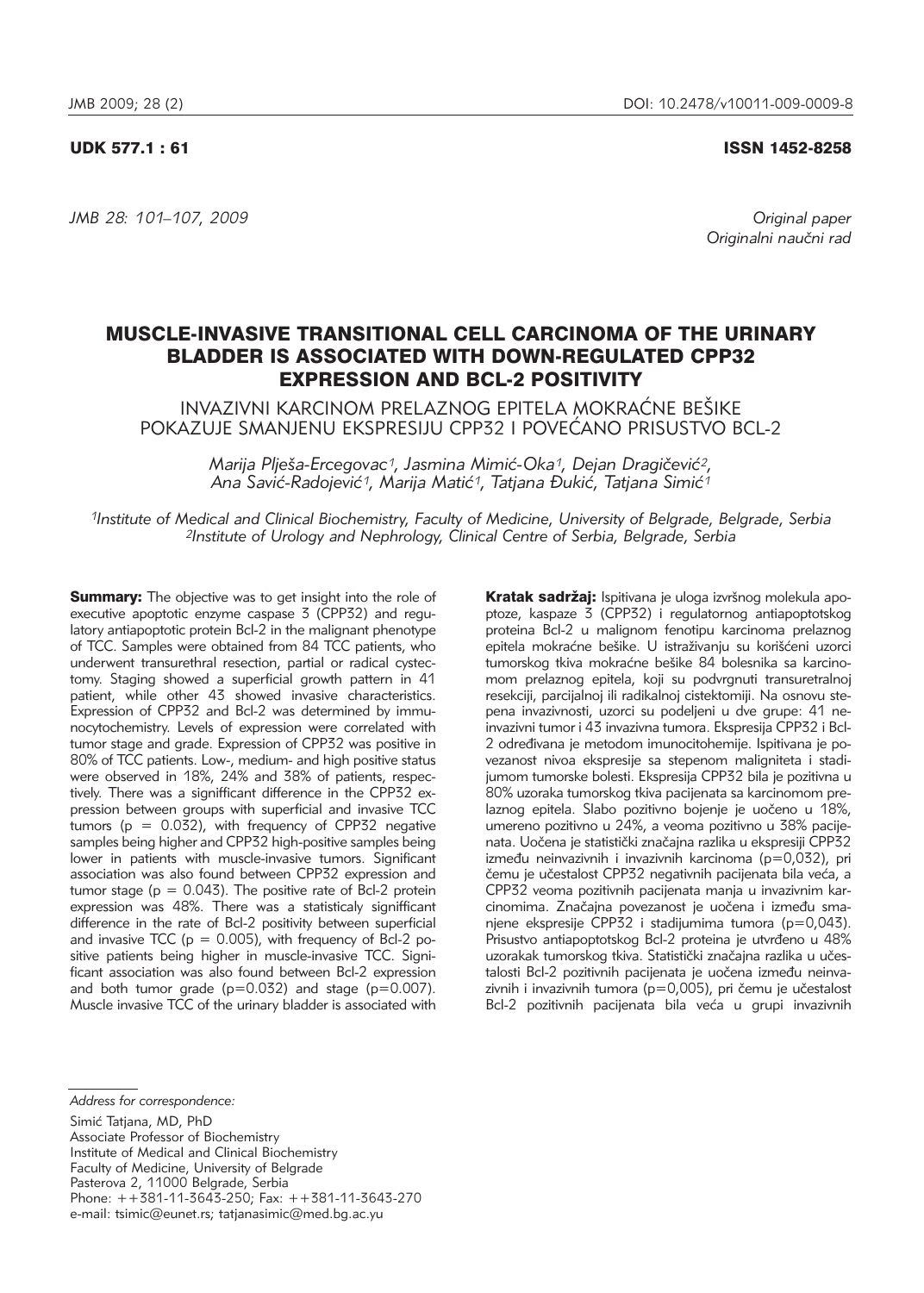### UDK 577.1 : 61 ISSN 1452-8258

*JMB 28: 101–107, 2009 Original paper*

*Originalni nau~ni rad*

# MUSCLE-INVASIVE TRANSITIONAL CELL CARCINOMA OF THE URINARY BLADDER IS ASSOCIATED WITH DOWN-REGULATED CPP32 EXPRESSION AND BCL-2 POSITIVITY

INVAZIVNI KARCINOM PRELAZNOG EPITELA MOKRAĆNE BEŠIKE POKAZUJE SMANJENU EKSPRESIJU CPP32 I POVEĆANO PRISUSTVO BCL-2

> *Marija Plješa-Ercegovac<sup>1</sup>, Jasmina Mimić-Oka<sup>1</sup>, Dejan Dragičević<sup>2</sup>,* Ana Savić-Radojević<sup>1</sup>, Marija Matić<sup>1</sup>, Tatjana Đukić, Tatjana Simić<sup>1</sup>

*1Institute of Medical and Clinical Biochemistry, Faculty of Medicine, University of Belgrade, Belgrade, Serbia 2Institute of Urology and Nephrology, Clinical Centre of Serbia, Belgrade, Serbia*

**Summary:** The objective was to get insight into the role of executive apoptotic enzyme caspase 3 (CPP32) and regulatory antiapoptotic protein Bcl-2 in the malignant phenotype of TCC. Samples were obtained from 84 TCC patients, who underwent transurethral resection, partial or radical cystectomy. Staging showed a superficial growth pattern in 41 patient, while other 43 showed invasive characteristics. Expression of CPP32 and Bcl-2 was determined by immunocytochemistry. Levels of expression were correlated with tumor stage and grade. Expression of CPP32 was positive in 80% of TCC patients. Low-, medium- and high positive status were observed in 18%, 24% and 38% of patients, respectively. There was a signifficant difference in the CPP32 expression between groups with superficial and invasive TCC tumors ( $p = 0.032$ ), with frequency of CPP32 negative samples being higher and CPP32 high-positive samples being lower in patients with muscle-invasive tumors. Significant association was also found between CPP32 expression and tumor stage ( $p = 0.043$ ). The positive rate of Bcl-2 protein expression was 48%. There was a statisticaly signifficant difference in the rate of Bcl-2 positivity between superficial and invasive TCC ( $p = 0.005$ ), with frequency of Bcl-2 positive patients being higher in muscle-invasive TCC. Significant association was also found between Bcl-2 expression and both tumor grade  $(p=0.032)$  and stage  $(p=0.007)$ . Muscle invasive TCC of the urinary bladder is associated with

Kratak sadržaj: Ispitivana je uloga izvršnog molekula apoptoze, kaspaze 3 (CPP32) i regulatornog antiapoptotskog proteina Bcl-2 u malignom fenotipu karcinoma prelaznog epitela mokraćne bešike. U istraživaniu su korišćeni uzorci tumorskog tkiva mokraćne bešike 84 bolesnika sa karcinomom prelaznog epitela, koji su podvrgnuti transuretralnoj resekciji, parcijalnoj ili radikalnoj cistektomiji. Na osnovu stepena invazivnosti, uzorci su podeljeni u dve grupe: 41 neinvazivni tumor i 43 invazivna tumora. Ekspresija CPP32 i Bcl-2 određivana je metodom imunocitohemije. Ispitivana je povezanost nivoa ekspresije sa stepenom maligniteta i stadijumom tumorske bolesti. Ekspresija CPP32 bila je pozitivna u 80% uzoraka tumorskog tkiva pacijenata sa karcinomom prelaznog epitela. Slabo pozitivno bojenje je uočeno u 18%, umereno pozitivno u 24%, a veoma pozitivno u 38% pacijenata. Uočena je statistički značajna razlika u ekspresiji CPP32 između neinvazivnih i invazivnih karcinoma (p=0,032), pri čemu je učestalost CPP32 negativnih pacijenata bila veća, a CPP32 veoma pozitivnih pacijenata manja u invazivnim kar cinomima. Značajna povezanost je uočena i između smanjene ekspresije CPP32 i stadijumima tumora (p=0,043). Prisustvo antiapoptotskog Bcl-2 proteina je utvrđeno u 48% uzorakak tumorskog tkiva. Statistički značajna razlika u učestalosti Bcl-2 pozitivnih pacijenata je uočena između neinvazivnih i invazivnih tumora ( $p=0.005$ ), pri čemu je učestalost Bcl-2 pozitivnih pacijenata bila veća u grupi invazivnih

Associate Professor of Biochemistry Institute of Medical and Clinical Biochemistry Faculty of Medicine, University of Belgrade Pasterova 2, 11000 Belgrade, Serbia Phone: ++381-11-3643-250; Fax: ++381-11-3643-270 e-mail: tsimic@eunet.rs; tatjanasimic@med.bg.ac.yu

*Address for correspondence:*

Simić Tatjana, MD, PhD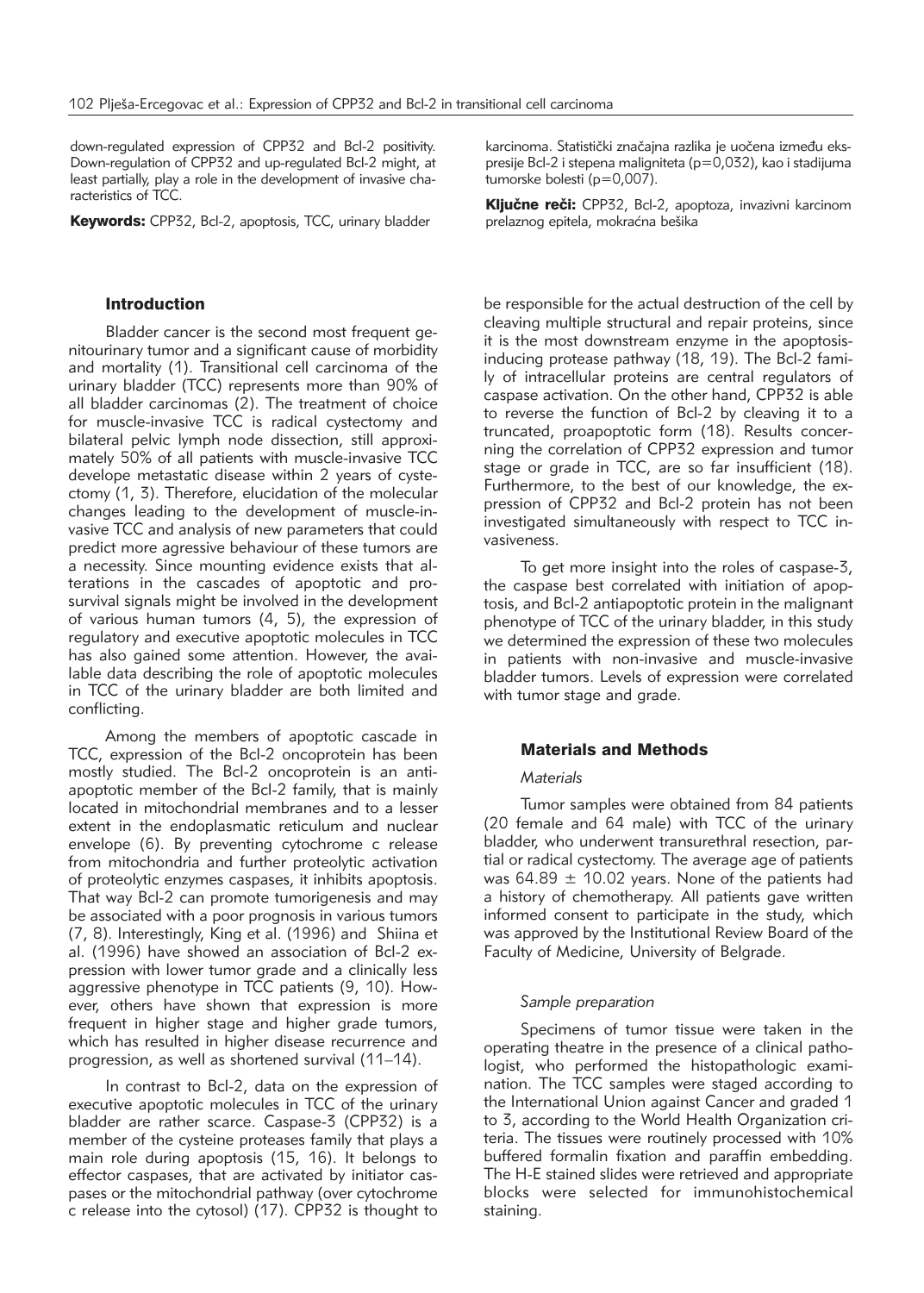down-regulated expression of CPP32 and Bcl-2 positivity. Down-regulation of CPP32 and up-regulated Bcl-2 might, at least partially, play a role in the development of invasive characteristics of TCC.

Keywords: CPP32, Bcl-2, apoptosis, TCC, urinary bladder

## Introduction

Bladder cancer is the second most frequent genitourinary tumor and a significant cause of morbidity and mortality (1). Transitional cell carcinoma of the urinary bladder (TCC) represents more than 90% of all bladder carcinomas (2). The treatment of choice for muscle-invasive TCC is radical cystectomy and bilateral pelvic lymph node dissection, still approximately 50% of all patients with muscle-invasive TCC develope metastatic disease within 2 years of cystectomy (1, 3). Therefore, elucidation of the molecular changes leading to the development of muscle-invasive TCC and analysis of new parameters that could predict more agressive behaviour of these tumors are a necessity. Since mounting evidence exists that alterations in the cascades of apoptotic and prosurvival signals might be involved in the development of various human tumors (4, 5), the expression of regulatory and executive apoptotic molecules in TCC has also gained some attention. However, the available data describing the role of apoptotic molecules in TCC of the urinary bladder are both limited and conflicting.

Among the members of apoptotic cascade in TCC, expression of the Bcl-2 oncoprotein has been mostly studied. The Bcl-2 oncoprotein is an antiapoptotic member of the Bcl-2 family, that is mainly located in mitochondrial membranes and to a lesser extent in the endoplasmatic reticulum and nuclear envelope (6). By preventing cytochrome c release from mitochondria and further proteolytic activation of proteolytic enzymes caspases, it inhibits apoptosis. That way Bcl-2 can promote tumorigenesis and may be associated with a poor prognosis in various tumors (7, 8). Interestingly, King et al. (1996) and Shiina et al. (1996) have showed an association of Bcl-2 expression with lower tumor grade and a clinically less aggressive phenotype in TCC patients (9, 10). However, others have shown that expression is more frequent in higher stage and higher grade tumors, which has resulted in higher disease recurrence and progression, as well as shortened survival (11–14).

In contrast to Bcl-2, data on the expression of executive apoptotic molecules in TCC of the urinary bladder are rather scarce. Caspase-3 (CPP32) is a member of the cysteine proteases family that plays a main role during apoptosis (15, 16). It belongs to effector caspases, that are activated by initiator caspases or the mitochondrial pathway (over cytochrome c release into the cytosol) (17). CPP32 is thought to

karcinoma. Statistički značajna razlika je uočena između ekspresije Bcl-2 i stepena maligniteta (p=0,032), kao i stadijuma tumorske bolesti (p=0,007).

Ključne reči: CPP32, Bcl-2, apoptoza, invazivni karcinom prelaznog epitela, mokraćna bešika

be responsible for the actual destruction of the cell by cleaving multiple structural and repair proteins, since it is the most downstream enzyme in the apoptosisinducing protease pathway (18, 19). The Bcl-2 family of intracellular proteins are central regulators of caspase activation. On the other hand, CPP32 is able to reverse the function of Bcl-2 by cleaving it to a truncated, proapoptotic form (18). Results concerning the correlation of CPP32 expression and tumor stage or grade in TCC, are so far insufficient (18). Furthermore, to the best of our knowledge, the expression of CPP32 and Bcl-2 protein has not been investigated simultaneously with respect to TCC in vasiveness.

To get more insight into the roles of caspase-3, the caspase best correlated with initiation of apoptosis, and Bcl-2 antiapoptotic protein in the malignant phenotype of TCC of the urinary bladder, in this study we determined the expression of these two molecules in patients with non-invasive and muscle-invasive bladder tumors. Levels of expression were correlated with tumor stage and grade.

#### Materials and Methods

## *Materials*

Tumor samples were obtained from 84 patients (20 female and 64 male) with TCC of the urinary bladder, who underwent transurethral resection, partial or radical cystectomy. The average age of patients was  $64.89 \pm 10.02$  years. None of the patients had a history of chemotherapy. All patients gave written informed consent to participate in the study, which was approved by the Institutional Review Board of the Faculty of Medicine, University of Belgrade.

#### *Sample preparation*

Specimens of tumor tissue were taken in the operating theatre in the presence of a clinical pathologist, who performed the histopathologic examination. The TCC samples were staged according to the International Union against Cancer and graded 1 to 3, according to the World Health Organization criteria. The tissues were routinely processed with 10% buffered formalin fixation and paraffin embedding. The H-E stained slides were retrieved and appropriate blocks were selected for immunohistochemical staining.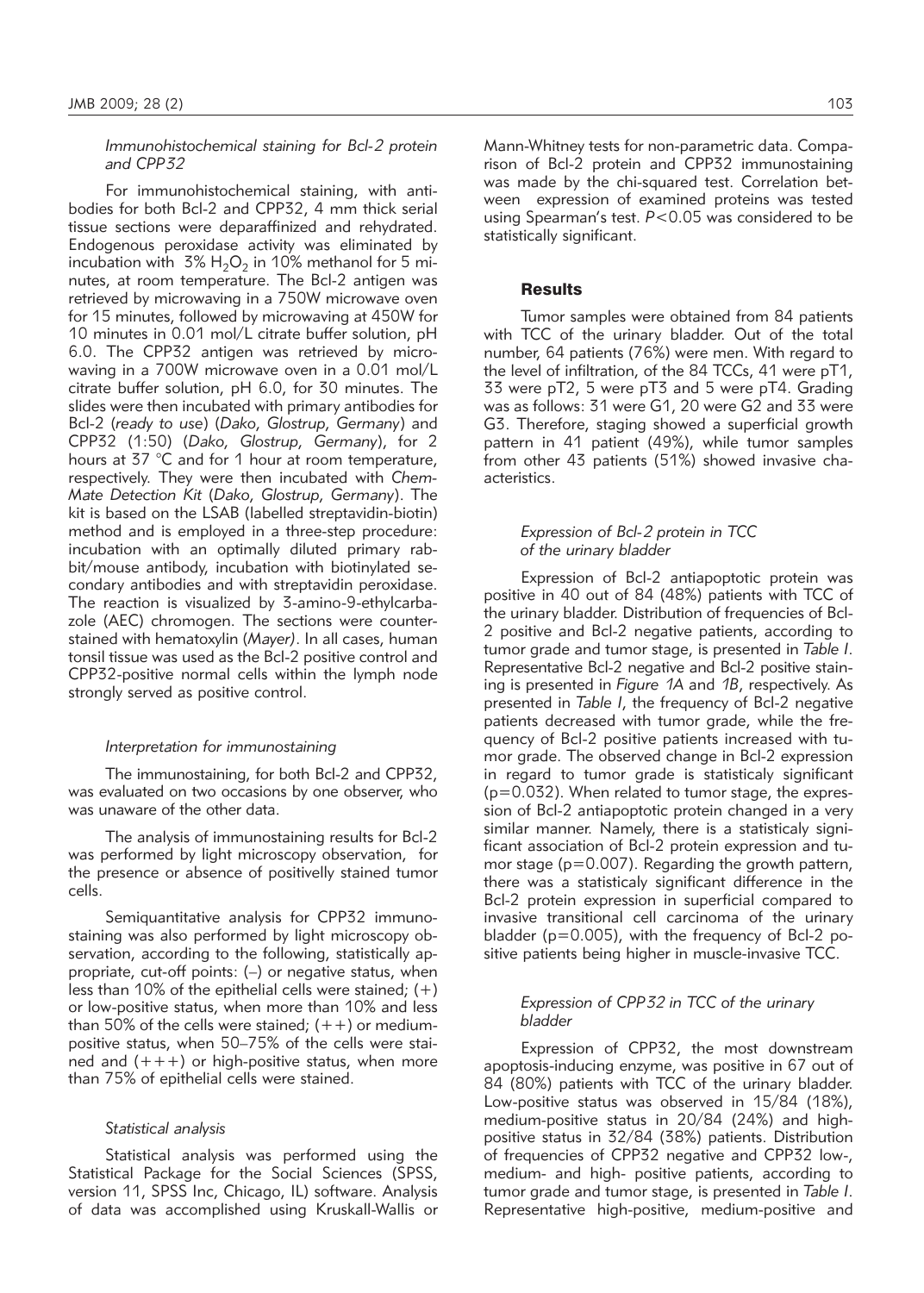*Immunohistochemical staining for Bcl-2 protein and CPP32* 

For immunohistochemical staining, with antibodies for both Bcl-2 and CPP32, 4 mm thick serial tissue sections were deparaffinized and rehydrated. Endogenous peroxidase activity was eliminated by incubation with  $3\%$  H<sub>2</sub>O<sub>2</sub> in 10% methanol for 5 minutes, at room temperature. The Bcl-2 antigen was retrieved by microwaving in a 750W microwave oven for 15 minutes, followed by microwaving at 450W for 10 minutes in 0.01 mol/L citrate buffer solution, pH 6.0. The CPP32 antigen was retrieved by microwaving in a 700W microwave oven in a 0.01 mol/L citrate buffer solution, pH 6.0, for 30 minutes. The slides were then incubated with primary antibodies for Bcl-2 (*ready to use*) (*Dako, Glostrup, Germany*) and CPP32 (1:50) (Dako, Glostrup, Germany), for 2 hours at 37 °C and for 1 hour at room temperature, respectively. They were then incubated with *Chem - Mate Detection Kit* (*Dako, Glostrup, Germany*). The kit is based on the LSAB (labelled streptavidin-biotin) method and is employed in a three-step procedure: incubation with an optimally diluted primary rabbit/mouse antibody, incubation with biotinylated secondary antibodies and with streptavidin peroxidase. The reaction is visualized by 3-amino-9-ethylcarbazole (AEC) chromogen. The sections were counterstained with hematoxylin (*Mayer)*. In all cases, human tonsil tissue was used as the Bcl-2 positive control and CPP32-positive normal cells within the lymph node strongly served as positive control.

#### *Interpretation for immunostaining*

The immunostaining, for both Bcl-2 and CPP32, was evaluated on two occasions by one observer, who was unaware of the other data.

The analysis of immunostaining results for Bcl-2 was performed by light microscopy observation, for the presence or absence of positivelly stained tumor cells.

Semiquantitative analysis for CPP32 immunostaining was also performed by light microscopy observation, according to the following, statistically appropriate, cut-off points: (–) or negative status, when less than 10% of the epithelial cells were stained;  $(+)$ or low-positive status, when more than 10% and less than 50% of the cells were stained;  $(++)$  or mediumpositive status, when 50–75% of the cells were stained and  $(+++)$  or high-positive status, when more than 75% of epithelial cells were stained.

#### *Statistical analysis*

Statistical analysis was performed using the Statistical Package for the Social Sciences (SPSS, version 11, SPSS Inc, Chicago, IL) software. Analysis of data was accomplished using Kruskall-Wallis or

Mann-Whitney tests for non-parametric data. Comparison of Bcl-2 protein and CPP32 immunostaining was made by the chi-squared test. Correlation between expression of examined proteins was tested using Spearman's test. *P*<0.05 was considered to be statistically significant.

#### **Results**

Tumor samples were obtained from 84 patients with TCC of the urinary bladder. Out of the total number, 64 patients (76%) were men. With regard to the level of infiltration, of the 84 TCCs, 41 were pT1, 33 were pT2, 5 were pT3 and 5 were pT4. Grading was as follows: 31 were G1, 20 were G2 and 33 were G3. Therefore, staging showed a superficial growth pattern in 41 patient (49%), while tumor samples from other 43 patients (51%) showed invasive chaacteristics.

## *Expression of Bcl-2 protein in TCC of the urinary bladder*

Expression of Bcl-2 antiapoptotic protein was positive in 40 out of 84 (48%) patients with TCC of the urinary bladder. Distribution of frequencies of Bcl-2 positive and Bcl-2 negative patients, according to tumor grade and tumor stage, is presented in *Table I*. Representative Bcl-2 negative and Bcl-2 positive stain ing is presented in *Figure 1A* and *1B*, respectively. As presented in *Table I*, the frequency of Bcl-2 negative patients decreased with tumor grade, while the frequency of Bcl-2 positive patients increased with tumor grade. The observed change in Bcl-2 expression in regard to tumor grade is statisticaly significant  $(p=0.032)$ . When related to tumor stage, the expression of Bcl-2 antiapoptotic protein changed in a very similar manner. Namely, there is a statisticaly significant association of Bcl-2 protein expression and tumor stage ( $p=0.007$ ). Regarding the growth pattern, there was a statisticaly significant difference in the Bcl-2 protein expression in superficial compared to invasive transitional cell carcinoma of the urinary bladder ( $p=0.005$ ), with the frequency of Bcl-2 positive patients being higher in muscle-invasive TCC.

## *Expression of CPP32 in TCC of the urinary bladder*

Expression of CPP32, the most downstream apoptosis-inducing enzyme, was positive in 67 out of 84 (80%) patients with TCC of the urinary bladder. Low-positive status was observed in 15/84 (18%), medium-positive status in 20/84 (24%) and highpositive status in 32/84 (38%) patients. Distribution of frequencies of CPP32 negative and CPP32 low-, medium- and high- positive patients, according to tumor grade and tumor stage, is presented in *Table I*. Representative high-positive, medium-positive and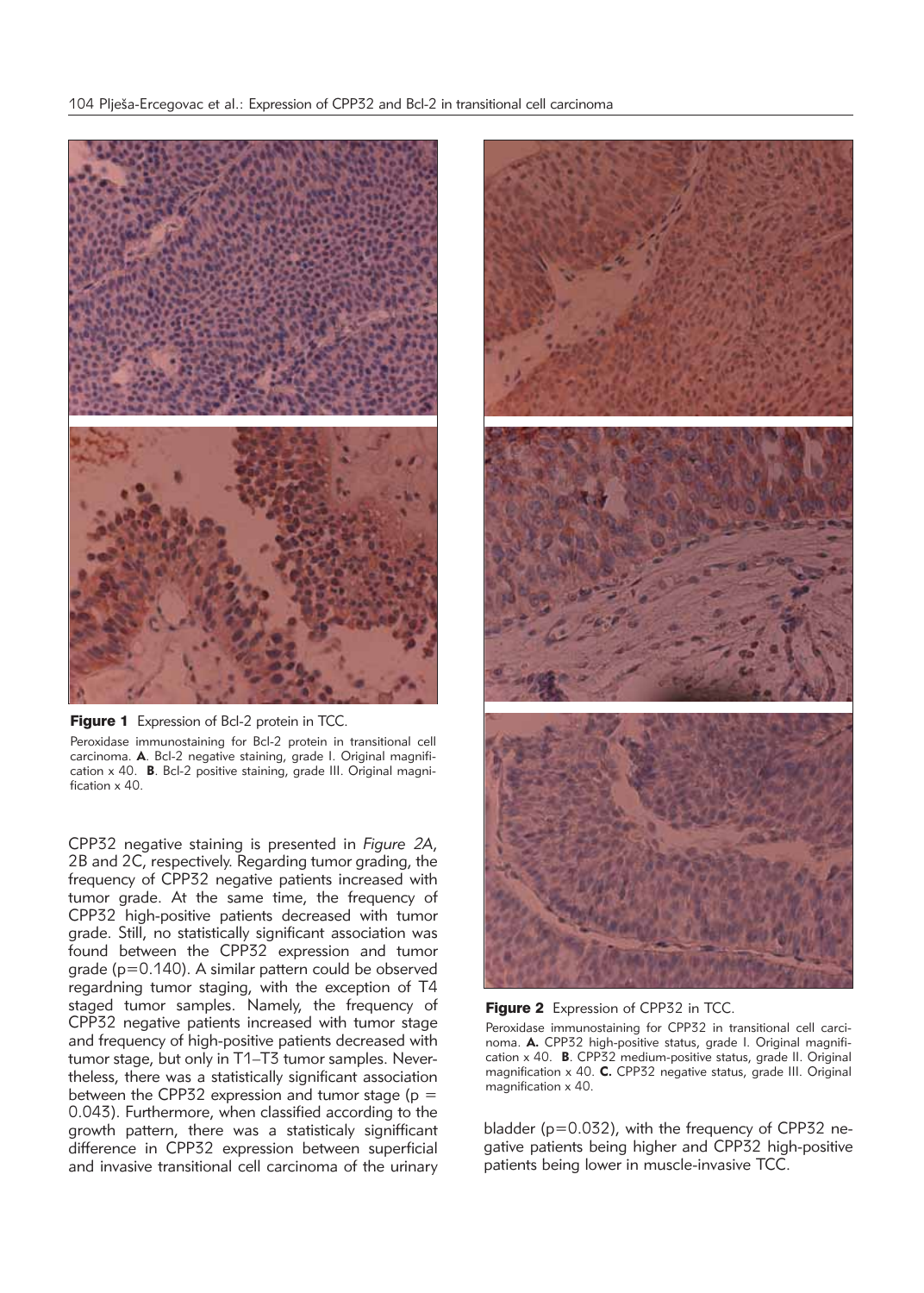



CPP32 negative staining is presented in *Figure 2A*, 2B and 2C, respectively. Regarding tumor grading, the frequency of CPP32 negative patients increased with tumor grade. At the same time, the frequency of CPP32 high-positive patients decreased with tumor grade. Still, no statistically significant association was found between the CPP32 expression and tumor grade ( $p=0.140$ ). A similar pattern could be observed regardning tumor staging, with the exception of T4 staged tumor samples. Namely, the frequency of CPP32 negative patients increased with tumor stage and frequency of high-positive patients decreased with tumor stage, but only in T1–T3 tumor samples. Nevertheless, there was a statistically significant association between the CPP32 expression and tumor stage ( $p =$ 0.043). Furthermore, when classified according to the growth pattern, there was a statisticaly signifficant difference in CPP32 expression between superficial and invasive transitional cell carcinoma of the urinary





Peroxidase immunostaining for CPP32 in transitional cell carcinoma. **A.** CPP32 high-positive status, grade I. Original magnification x 40. **B**. CPP32 medium-positive status, grade II. Original magnification x 40. **C.** CPP32 negative status, grade III. Original magnification x 40.

bladder ( $p=0.032$ ), with the frequency of CPP32 negative patients being higher and CPP32 high-positive patients being lower in muscle-invasive TCC.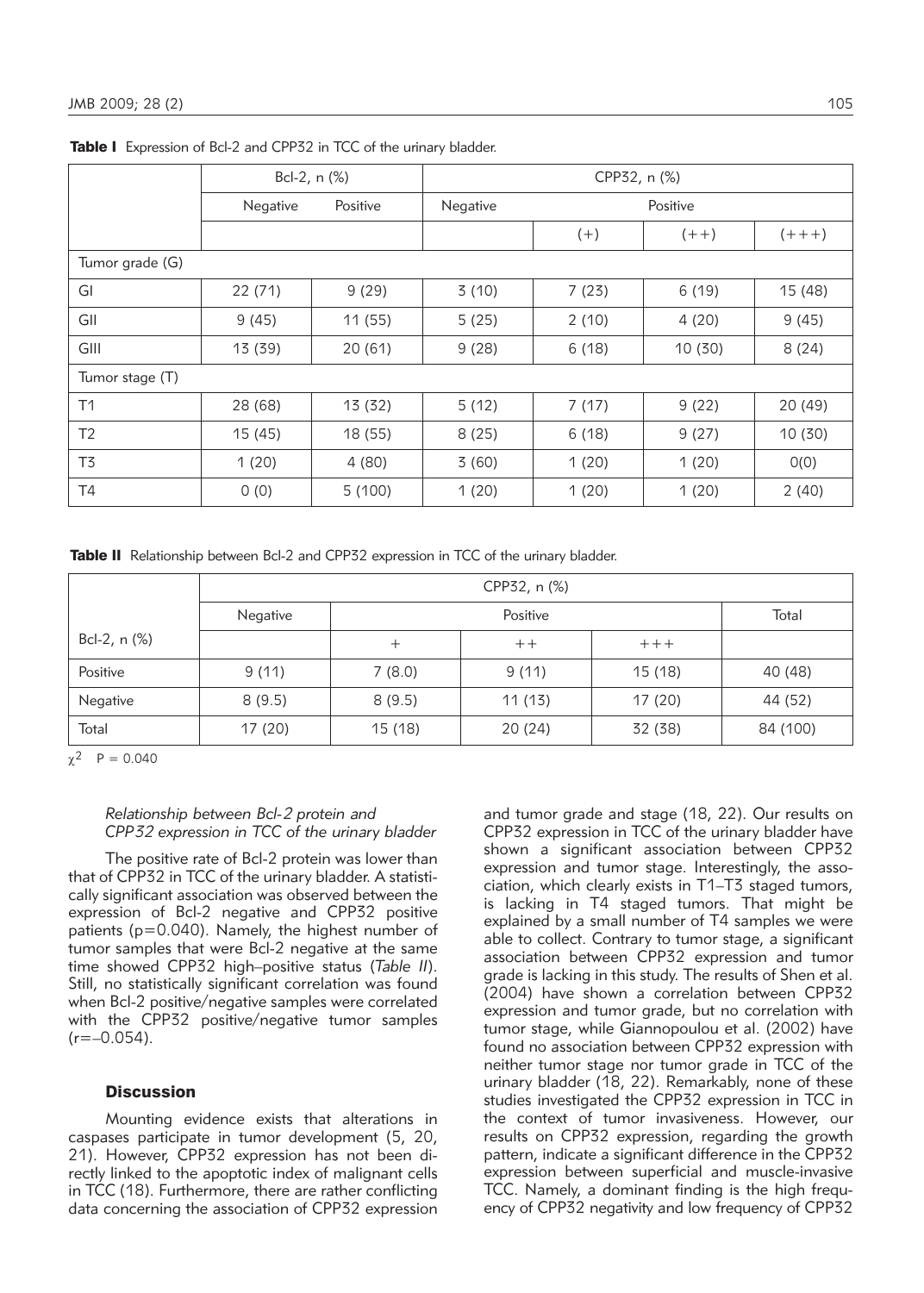|                 | Bcl-2, n (%) |          | CPP32, n (%) |          |         |           |  |  |  |
|-----------------|--------------|----------|--------------|----------|---------|-----------|--|--|--|
|                 | Negative     | Positive | Negative     | Positive |         |           |  |  |  |
|                 |              |          |              | $(+)$    | $(+ +)$ | $(+ + +)$ |  |  |  |
| Tumor grade (G) |              |          |              |          |         |           |  |  |  |
| GI              | 22 (71)      | 9(29)    | 3(10)        | 7(23)    | 6(19)   | 15 (48)   |  |  |  |
| GII             | 9(45)        | 11(55)   | 5(25)        | 2(10)    | 4(20)   | 9(45)     |  |  |  |
| GIII            | 13 (39)      | 20(61)   | 9(28)        | 6(18)    | 10 (30) | 8(24)     |  |  |  |
| Tumor stage (T) |              |          |              |          |         |           |  |  |  |
| T1              | 28 (68)      | 13 (32)  | 5(12)        | 7(17)    | 9(22)   | 20 (49)   |  |  |  |
| T <sub>2</sub>  | 15(45)       | 18 (55)  | 8(25)        | 6(18)    | 9(27)   | 10(30)    |  |  |  |
| T3              | 1(20)        | 4(80)    | 3(60)        | 1(20)    | 1(20)   | O(0)      |  |  |  |
| T4              | 0(0)         | 5(100)   | 1(20)        | 1(20)    | 1(20)   | 2(40)     |  |  |  |

Table I Expression of Bcl-2 and CPP32 in TCC of the urinary bladder.

Table II Relationship between Bcl-2 and CPP32 expression in TCC of the urinary bladder.

|              | CPP32, n (%) |         |         |         |          |  |  |  |
|--------------|--------------|---------|---------|---------|----------|--|--|--|
|              | Negative     |         | Total   |         |          |  |  |  |
| Bcl-2, n (%) |              | +       | $++$    | $+++$   |          |  |  |  |
| Positive     | 9(11)        | 7(8.0)  | 9(11)   | 15 (18) | 40 (48)  |  |  |  |
| Negative     | 8(9.5)       | 8(9.5)  | 11(13)  | 17(20)  | 44 (52)  |  |  |  |
| Total        | 17 (20)      | 15 (18) | 20 (24) | 32 (38) | 84 (100) |  |  |  |

 $\gamma^2$  P = 0.040

## *Relationship between Bcl-2 protein and CPP32 expression in TCC of the urinary bladder*

The positive rate of Bcl-2 protein was lower than that of CPP32 in TCC of the urinary bladder. A statistically significant association was observed between the expression of Bcl-2 negative and CPP32 positive patients (p=0.040). Namely, the highest number of tumor samples that were Bcl-2 negative at the same time showed CPP32 high–positive status (*Table II*). Still, no statistically significant correlation was found when Bcl-2 positive/negative samples were correlated with the CPP32 positive/negative tumor samples  $(r=-0.054)$ .

## **Discussion**

Mounting evidence exists that alterations in caspases participate in tumor development (5, 20, 21). However, CPP32 expression has not been directly linked to the apoptotic index of malignant cells in TCC (18). Furthermore, there are rather conflicting data concerning the association of CPP32 expression and tumor grade and stage (18, 22). Our results on CPP32 expression in TCC of the urinary bladder have shown a significant association between CPP32 expression and tumor stage. Interestingly, the association, which clearly exists in T1-T3 staged tumors, is lacking in T4 staged tumors. That might be explained by a small number of T4 samples we were able to collect. Contrary to tumor stage, a significant association between CPP32 expression and tumor grade is lacking in this study. The results of Shen et al. (2004) have shown a correlation between CPP32 expression and tumor grade, but no correlation with tumor stage, while Giannopoulou et al. (2002) have found no association between CPP32 expression with neither tumor stage nor tumor grade in TCC of the urinary bladder (18, 22). Remarkably, none of these studies investigated the CPP32 expression in TCC in the context of tumor invasiveness. However, our results on CPP32 expression, regarding the growth pattern, indicate a significant difference in the CPP32 expression between superficial and muscle-invasive TCC. Namely, a dominant finding is the high frequency of CPP32 negativity and low frequency of CPP32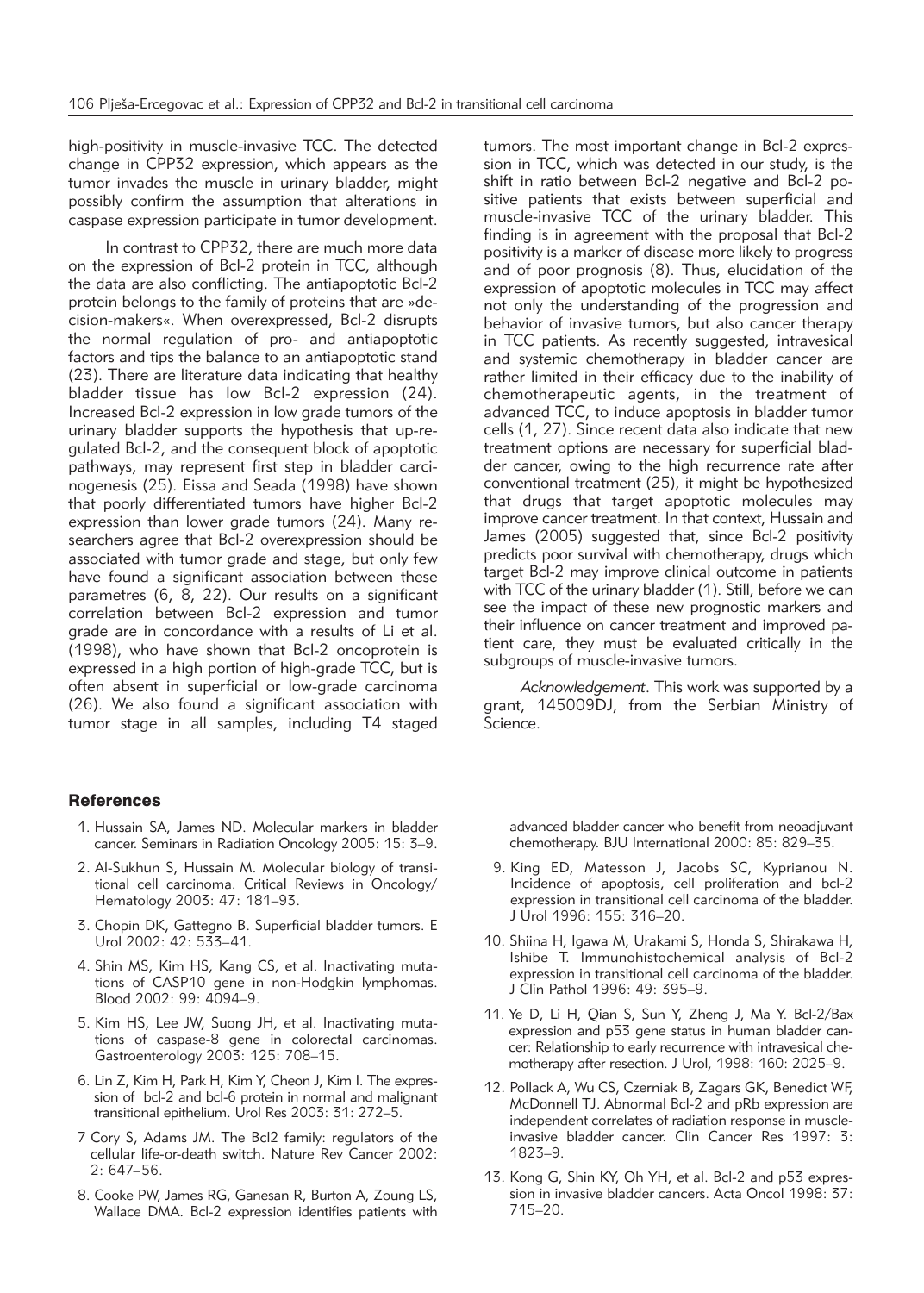high-positivity in muscle-invasive TCC. The detected change in CPP32 expression, which appears as the tumor invades the muscle in urinary bladder, might possibly confirm the assumption that alterations in caspase expression participate in tumor development.

In contrast to CPP32, there are much more data on the expression of Bcl-2 protein in TCC, although the data are also conflicting. The antiapoptotic Bcl-2 protein belongs to the family of proteins that are »decision-makers«. When overexpressed, Bcl-2 disrupts the normal regulation of pro- and antiapoptotic factors and tips the balance to an antiapoptotic stand (23). There are literature data indicating that healthy bladder tissue has low Bcl-2 expression (24). Increased Bcl-2 expression in low grade tumors of the urinary bladder supports the hypothesis that up-regulated Bcl-2, and the consequent block of apoptotic pathways, may represent first step in bladder carcinogenesis (25). Eissa and Seada (1998) have shown that poorly differentiated tumors have higher Bcl-2 expression than lower grade tumors (24). Many researchers agree that Bcl-2 over expression should be associated with tumor grade and stage, but only few have found a significant association between these parametres (6, 8, 22). Our results on a significant correlation between Bcl-2 expression and tumor grade are in concordance with a results of Li et al. (1998), who have shown that Bcl-2 oncoprotein is expressed in a high portion of high-grade TCC, but is often absent in superficial or low-grade carcinoma (26). We also found a significant association with tumor stage in all samples, including T4 staged

tumors. The most important change in Bcl-2 expression in TCC, which was detected in our study, is the shift in ratio between Bcl-2 negative and Bcl-2 positive patients that exists between superficial and muscle-invasive TCC of the urinary bladder. This finding is in agreement with the proposal that Bcl-2 positivity is a marker of disease more likely to progress and of poor prognosis (8). Thus, elucidation of the expression of apoptotic molecules in TCC may affect not only the understanding of the progression and behavior of invasive tumors, but also cancer therapy in TCC patients. As recently suggested, intravesical and systemic chemotherapy in bladder cancer are rather limited in their efficacy due to the inability of chemotherapeutic agents, in the treatment of advanced TCC, to induce apoptosis in bladder tumor cells (1, 27). Since recent data also indicate that new treatment options are necessary for superficial bladder cancer, owing to the high recurrence rate after conventional treatment (25), it might be hypothesized that drugs that target apoptotic molecules may improve cancer treatment. In that context, Hussain and James (2005) suggested that, since Bcl-2 positivity predicts poor survival with chemotherapy, drugs which target Bcl-2 may improve clinical outcome in patients with TCC of the urinary bladder (1). Still, before we can see the impact of these new prognostic markers and their influence on cancer treatment and improved patient care, they must be evaluated critically in the subgroups of muscle-invasive tumors.

*Acknowledgement*. This work was supported by a grant, 145009DJ, from the Serbian Ministry of Science.

#### **References**

- 1. Hussain SA, James ND. Molecular markers in bladder cancer. Seminars in Radiation Oncology 2005: 15: 3–9.
- 2. Al-Sukhun S, Hussain M. Molecular biology of transitional cell carcinoma. Critical Reviews in Oncology/ Hematology 2003: 47: 181–93.
- 3. Chopin DK, Gattegno B. Superficial bladder tumors. E Urol 2002: 42: 533–41.
- 4. Shin MS, Kim HS, Kang CS, et al. Inactivating mutations of CASP10 gene in non-Hodgkin lymphomas. Blood 2002: 99: 4094–9.
- 5. Kim HS, Lee JW, Suong JH, et al. Inactivating mutations of caspase-8 gene in colorectal carcinomas. Gastroenterology 2003: 125: 708-15.
- 6. Lin Z, Kim H, Park H, Kim Y, Cheon J, Kim I. The expression of bcl-2 and bcl-6 protein in normal and malignant transitional epithelium. Urol Res 2003: 31: 272–5.
- 7 Cory S, Adams JM. The Bcl2 family: regulators of the cellular life-or-death switch. Nature Rev Cancer 2002: 2: 647–56.
- 8. Cooke PW, James RG, Ganesan R, Burton A, Zoung LS, Wallace DMA. Bcl-2 expression identifies patients with

advanced bladder cancer who benefit from neoadjuvant chemotherapy. BJU International 2000: 85: 829–35.

- 9. King ED, Matesson J, Jacobs SC, Kyprianou N. Incidence of apoptosis, cell proliferation and bcl-2 expression in transitional cell carcinoma of the bladder. J Urol 1996: 155: 316–20.
- 10. Shiina H, Igawa M, Urakami S, Honda S, Shirakawa H, Ishibe T. Immunohistochemical analysis of Bcl-2 expression in transitional cell carcinoma of the bladder. J Clin Pathol 1996: 49: 395–9.
- 11. Ye D, Li H, Qian S, Sun Y, Zheng J, Ma Y. Bcl-2/Bax expression and p53 gene status in human bladder cancer: Relationship to early recurrence with intravesical chemotherapy after resection. J Urol, 1998: 160: 2025-9.
- 12. Pollack A, Wu CS, Czerniak B, Zagars GK, Benedict WF, McDonnell TJ. Abnormal Bcl-2 and pRb expression are independent correlates of radiation response in muscleinvasive bladder cancer. Clin Cancer Res 1997: 3: 1823–9.
- 13. Kong G, Shin KY, Oh YH, et al. Bcl-2 and p53 expression in invasive bladder cancers. Acta Oncol 1998: 37: 715–20.